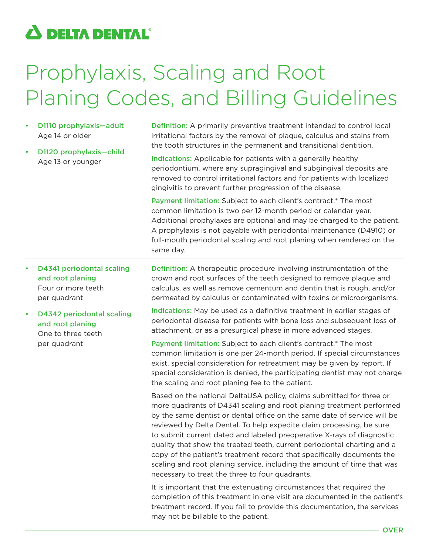## $\boldsymbol{\Delta}$  delta dental $^{\circ}$

## Prophylaxis, Scaling and Root Planing Codes, and Billing Guidelines

- D1110 prophylaxis—adult Age 14 or older
- D1120 prophylaxis—child Age 13 or younger

Definition: A primarily preventive treatment intended to control local irritational factors by the removal of plaque, calculus and stains from the tooth structures in the permanent and transitional dentition.

Indications: Applicable for patients with a generally healthy periodontium, where any supragingival and subgingival deposits are removed to control irritational factors and for patients with localized gingivitis to prevent further progression of the disease.

Payment limitation: Subject to each client's contract.\* The most common limitation is two per 12-month period or calendar year. Additional prophylaxes are optional and may be charged to the patient. A prophylaxis is not payable with periodontal maintenance (D4910) or full-mouth periodontal scaling and root planing when rendered on the same day.

- D4341 periodontal scaling and root planing Four or more teeth per quadrant
- D4342 periodontal scaling and root planing One to three teeth

per quadrant

Definition: A therapeutic procedure involving instrumentation of the crown and root surfaces of the teeth designed to remove plaque and calculus, as well as remove cementum and dentin that is rough, and/or permeated by calculus or contaminated with toxins or microorganisms.

Indications: May be used as a definitive treatment in earlier stages of periodontal disease for patients with bone loss and subsequent loss of attachment, or as a presurgical phase in more advanced stages.

Payment limitation: Subject to each client's contract.\* The most common limitation is one per 24-month period. If special circumstances exist, special consideration for retreatment may be given by report. If special consideration is denied, the participating dentist may not charge the scaling and root planing fee to the patient.

Based on the national DeltaUSA policy, claims submitted for three or more quadrants of D4341 scaling and root planing treatment performed by the same dentist or dental office on the same date of service will be reviewed by Delta Dental. To help expedite claim processing, be sure to submit current dated and labeled preoperative X-rays of diagnostic quality that show the treated teeth, current periodontal charting and a copy of the patient's treatment record that specifically documents the scaling and root planing service, including the amount of time that was necessary to treat the three to four quadrants.

It is important that the extenuating circumstances that required the completion of this treatment in one visit are documented in the patient's treatment record. If you fail to provide this documentation, the services may not be billable to the patient.